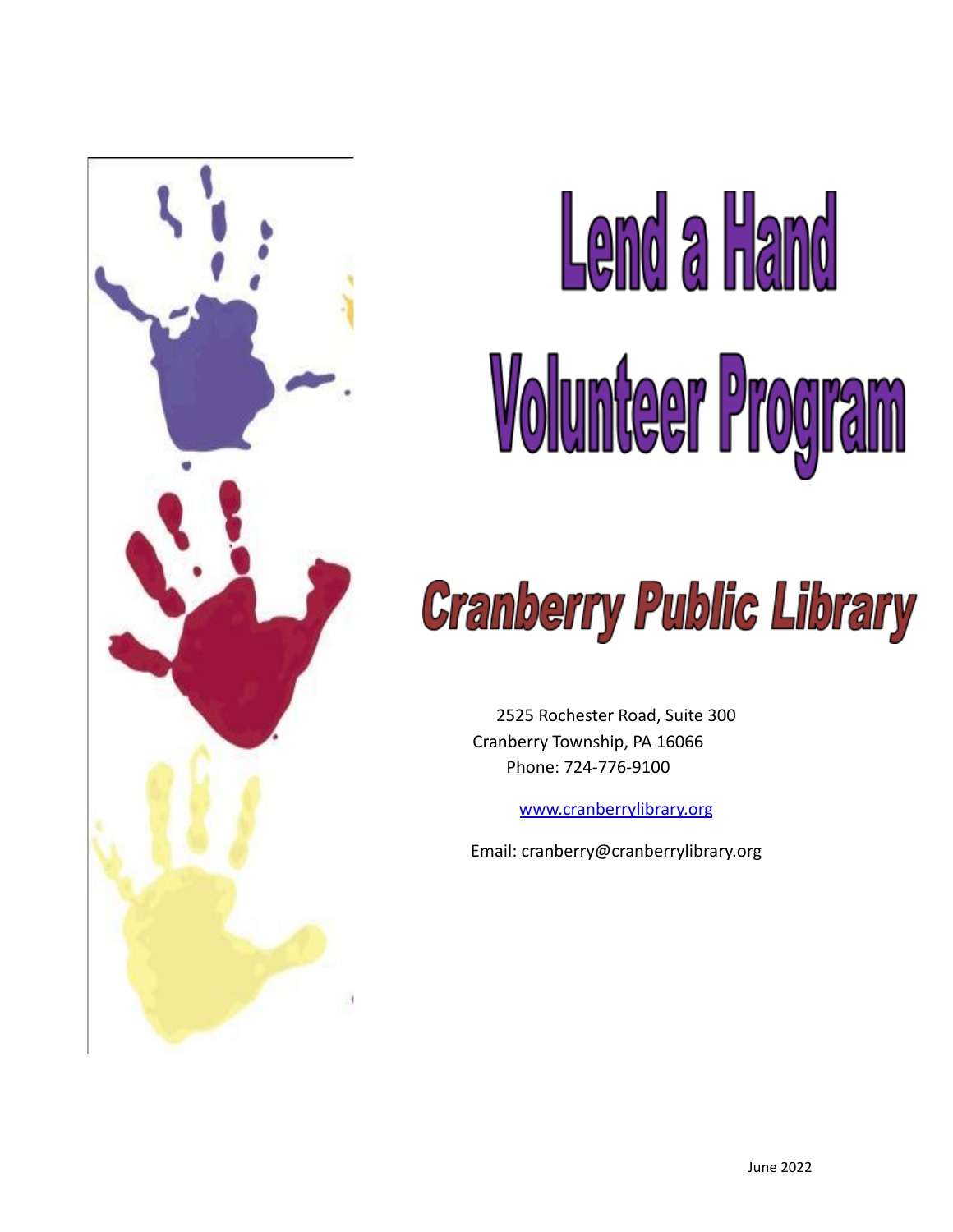

# Lemd a Hand Volunteer Program

## **Cranberry Public Library**

2525 Rochester Road, Suite 300 Cranberry Township, PA 16066 Phone: 724-776-9100

[www.cranberrylibrary.org](http://www.cranberrylibrary.org)

Email: cranberry@cranberrylibrary.org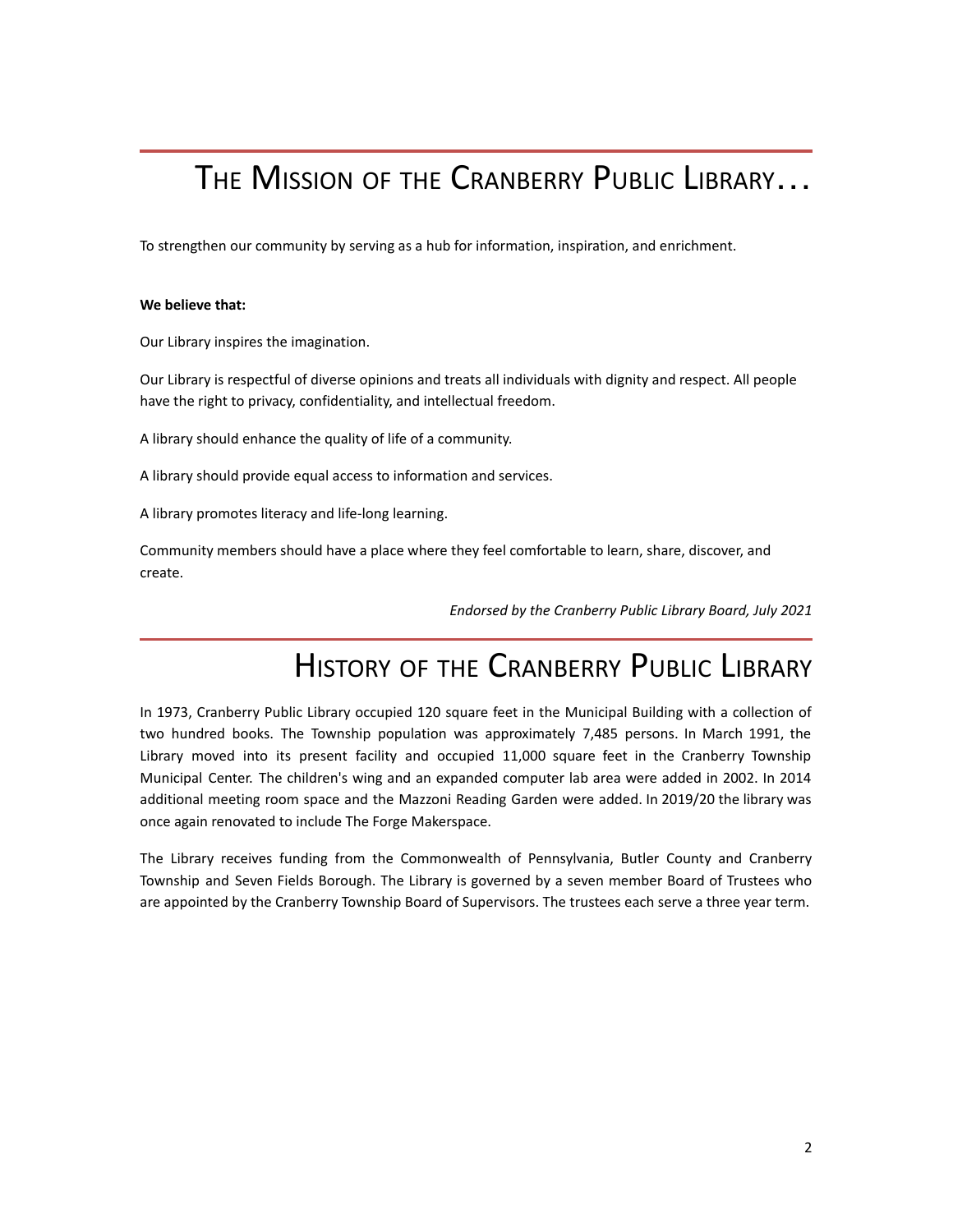## THE MISSION OF THE CRANBERRY PUBLIC LIBRARY...

To strengthen our community by serving as a hub for information, inspiration, and enrichment.

#### **We believe that:**

Our Library inspires the imagination.

Our Library is respectful of diverse opinions and treats all individuals with dignity and respect. All people have the right to privacy, confidentiality, and intellectual freedom.

A library should enhance the quality of life of a community.

A library should provide equal access to information and services.

A library promotes literacy and life-long learning.

Community members should have a place where they feel comfortable to learn, share, discover, and create.

*Endorsed by the Cranberry Public Library Board, July 2021*

## HISTORY OF THE CRANBERRY PUBLIC LIBRARY

In 1973, Cranberry Public Library occupied 120 square feet in the Municipal Building with a collection of two hundred books. The Township population was approximately 7,485 persons. In March 1991, the Library moved into its present facility and occupied 11,000 square feet in the Cranberry Township Municipal Center. The children's wing and an expanded computer lab area were added in 2002. In 2014 additional meeting room space and the Mazzoni Reading Garden were added. In 2019/20 the library was once again renovated to include The Forge Makerspace.

The Library receives funding from the Commonwealth of Pennsylvania, Butler County and Cranberry Township and Seven Fields Borough. The Library is governed by a seven member Board of Trustees who are appointed by the Cranberry Township Board of Supervisors. The trustees each serve a three year term.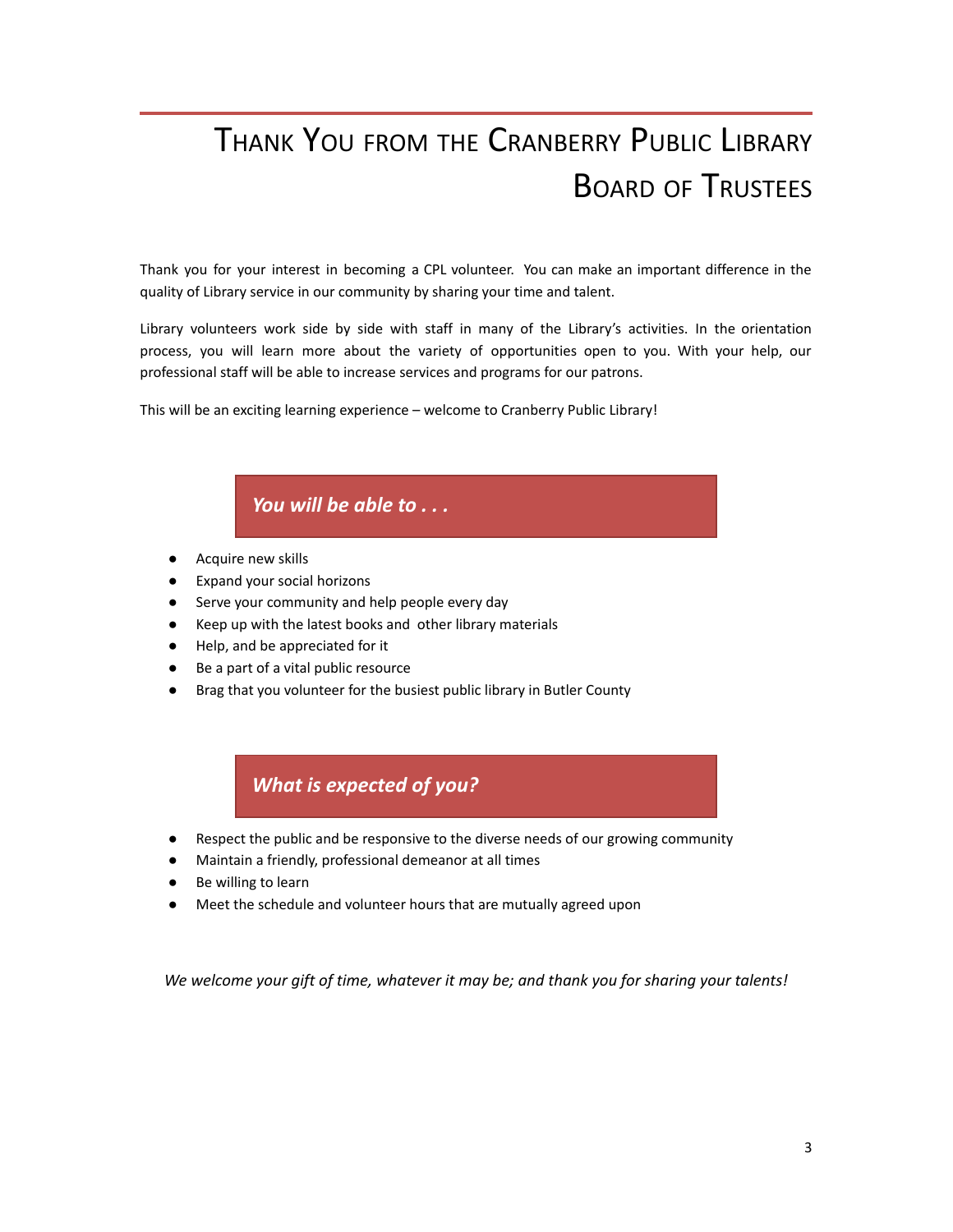## THANK YOU FROM THE CRANBERRY PUBLIC LIBRARY BOARD OF TRUSTEES

Thank you for your interest in becoming a CPL volunteer. You can make an important difference in the quality of Library service in our community by sharing your time and talent.

Library volunteers work side by side with staff in many of the Library's activities. In the orientation process, you will learn more about the variety of opportunities open to you. With your help, our professional staff will be able to increase services and programs for our patrons.

This will be an exciting learning experience – welcome to Cranberry Public Library!

#### *You will be able to . . .*

- Acquire new skills
- Expand your social horizons
- Serve your community and help people every day
- Keep up with the latest books and other library materials
- Help, and be appreciated for it
- Be a part of a vital public resource
- Brag that you volunteer for the busiest public library in Butler County

#### *What is expected of you?*

- Respect the public and be responsive to the diverse needs of our growing community
- Maintain a friendly, professional demeanor at all times
- Be willing to learn
- Meet the schedule and volunteer hours that are mutually agreed upon

*We welcome your gift of time, whatever it may be; and thank you for sharing your talents!*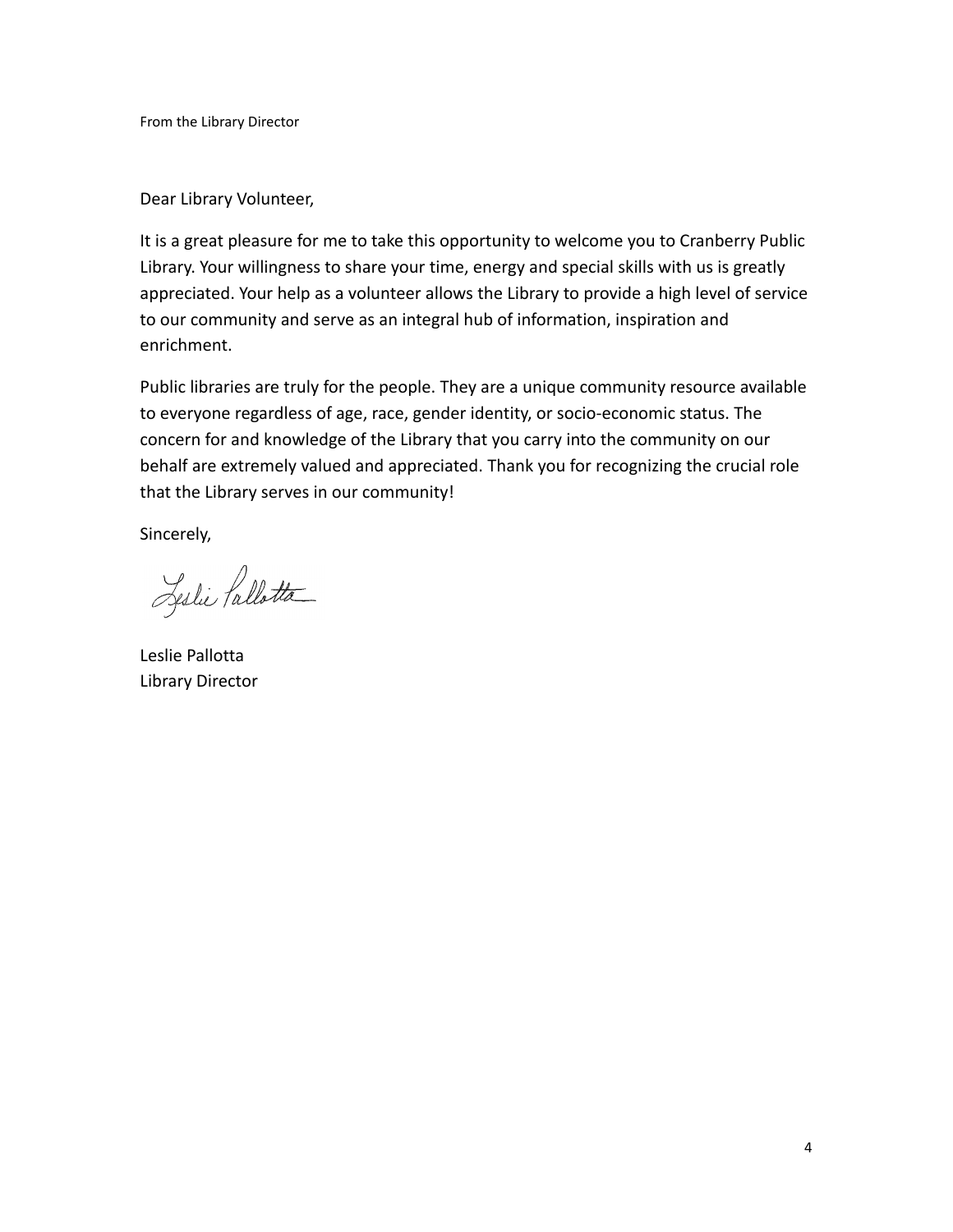From the Library Director

Dear Library Volunteer,

It is a great pleasure for me to take this opportunity to welcome you to Cranberry Public Library. Your willingness to share your time, energy and special skills with us is greatly appreciated. Your help as a volunteer allows the Library to provide a high level of service to our community and serve as an integral hub of information, inspiration and enrichment.

Public libraries are truly for the people. They are a unique community resource available to everyone regardless of age, race, gender identity, or socio-economic status. The concern for and knowledge of the Library that you carry into the community on our behalf are extremely valued and appreciated. Thank you for recognizing the crucial role that the Library serves in our community!

Sincerely,

Leslie Pallotta

Leslie Pallotta Library Director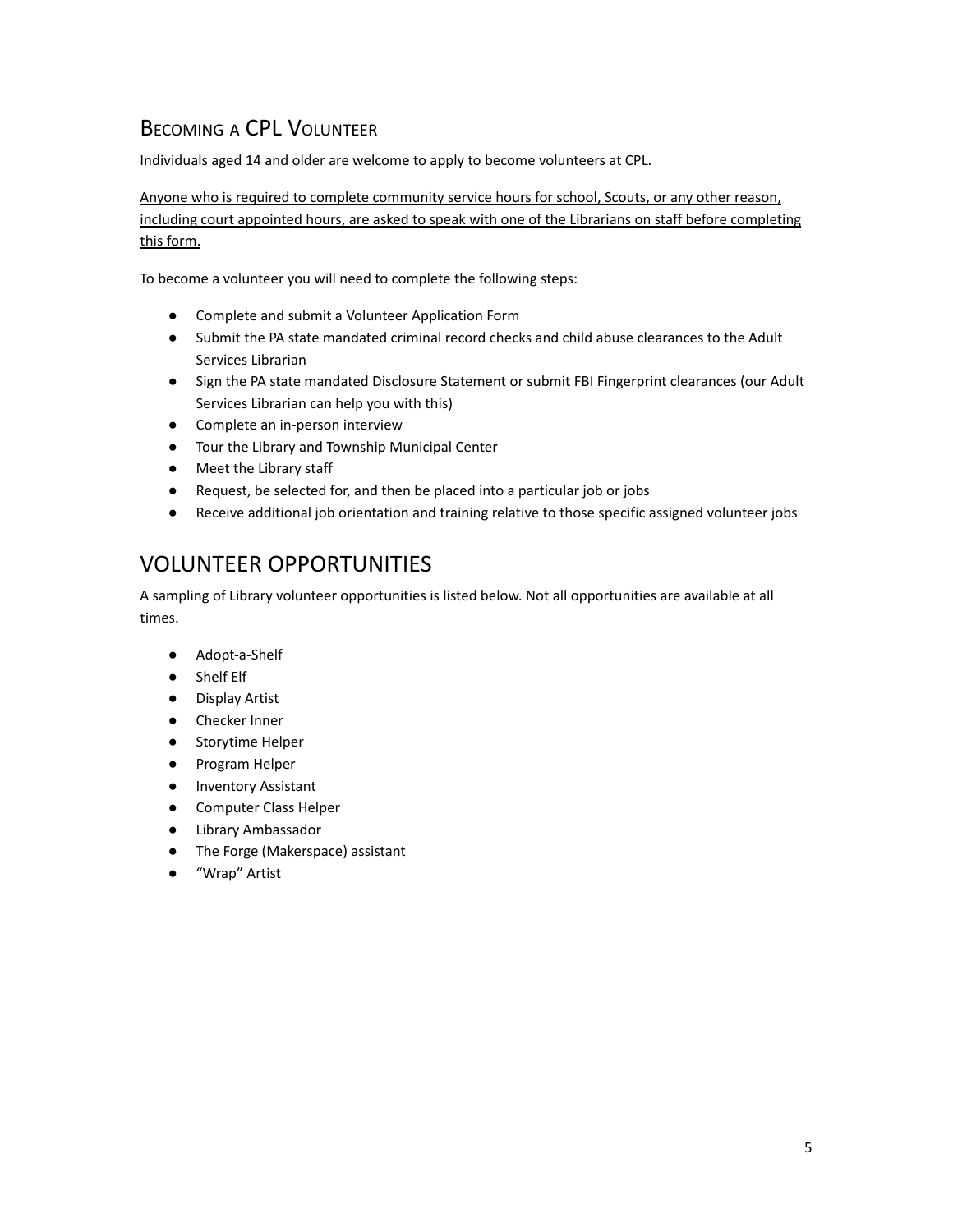#### BECOMING A CPL VOLUNTEER

Individuals aged 14 and older are welcome to apply to become volunteers at CPL.

Anyone who is required to complete community service hours for school, Scouts, or any other reason, including court appointed hours, are asked to speak with one of the Librarians on staff before completing this form.

To become a volunteer you will need to complete the following steps:

- Complete and submit a Volunteer Application Form
- Submit the PA state mandated criminal record checks and child abuse clearances to the Adult Services Librarian
- Sign the PA state mandated Disclosure Statement or submit FBI Fingerprint clearances (our Adult Services Librarian can help you with this)
- Complete an in-person interview
- Tour the Library and Township Municipal Center
- Meet the Library staff
- Request, be selected for, and then be placed into a particular job or jobs
- Receive additional job orientation and training relative to those specific assigned volunteer jobs

#### VOLUNTEER OPPORTUNITIES

A sampling of Library volunteer opportunities is listed below. Not all opportunities are available at all times.

- Adopt-a-Shelf
- Shelf Elf
- Display Artist
- Checker Inner
- Storytime Helper
- Program Helper
- Inventory Assistant
- Computer Class Helper
- Library Ambassador
- The Forge (Makerspace) assistant
- "Wrap" Artist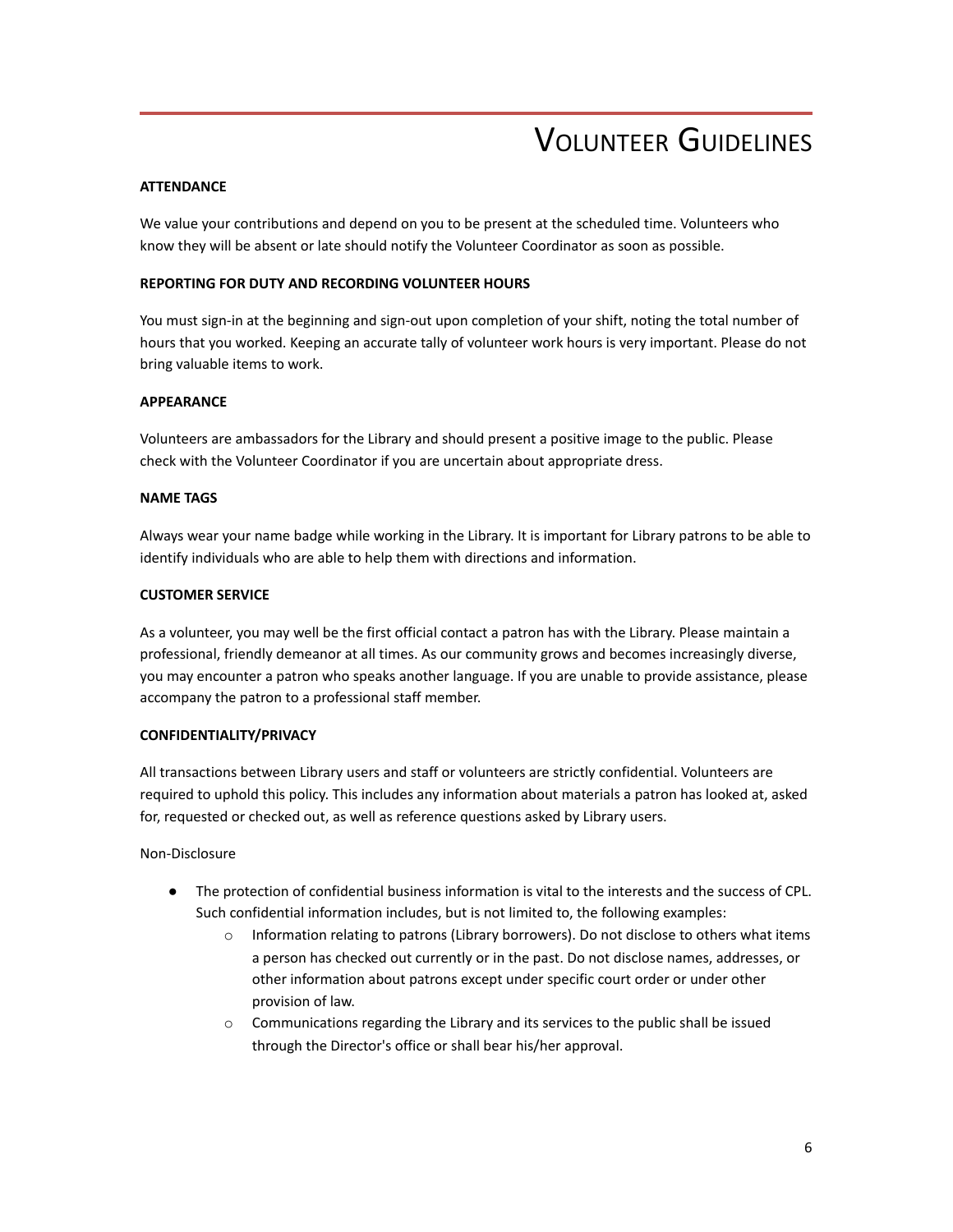## VOLUNTEER GUIDELINES

#### **ATTENDANCE**

We value your contributions and depend on you to be present at the scheduled time. Volunteers who know they will be absent or late should notify the Volunteer Coordinator as soon as possible.

#### **REPORTING FOR DUTY AND RECORDING VOLUNTEER HOURS**

You must sign-in at the beginning and sign-out upon completion of your shift, noting the total number of hours that you worked. Keeping an accurate tally of volunteer work hours is very important. Please do not bring valuable items to work.

#### **APPEARANCE**

Volunteers are ambassadors for the Library and should present a positive image to the public. Please check with the Volunteer Coordinator if you are uncertain about appropriate dress.

#### **NAME TAGS**

Always wear your name badge while working in the Library. It is important for Library patrons to be able to identify individuals who are able to help them with directions and information.

#### **CUSTOMER SERVICE**

As a volunteer, you may well be the first official contact a patron has with the Library. Please maintain a professional, friendly demeanor at all times. As our community grows and becomes increasingly diverse, you may encounter a patron who speaks another language. If you are unable to provide assistance, please accompany the patron to a professional staff member.

#### **CONFIDENTIALITY/PRIVACY**

All transactions between Library users and staff or volunteers are strictly confidential. Volunteers are required to uphold this policy. This includes any information about materials a patron has looked at, asked for, requested or checked out, as well as reference questions asked by Library users.

Non-Disclosure

- The protection of confidential business information is vital to the interests and the success of CPL. Such confidential information includes, but is not limited to, the following examples:
	- o Information relating to patrons (Library borrowers). Do not disclose to others what items a person has checked out currently or in the past. Do not disclose names, addresses, or other information about patrons except under specific court order or under other provision of law.
	- $\circ$  Communications regarding the Library and its services to the public shall be issued through the Director's office or shall bear his/her approval.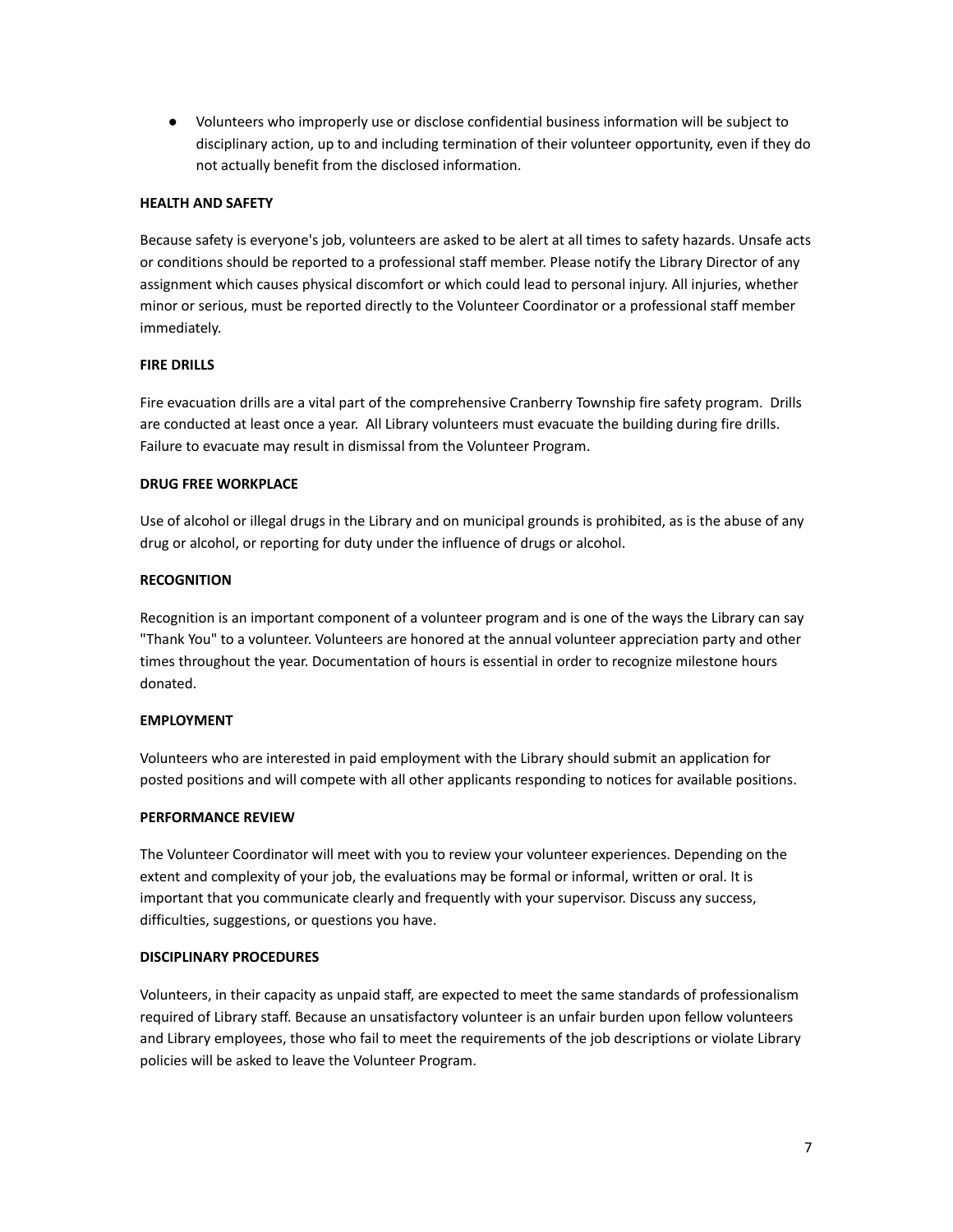● Volunteers who improperly use or disclose confidential business information will be subject to disciplinary action, up to and including termination of their volunteer opportunity, even if they do not actually benefit from the disclosed information.

#### **HEALTH AND SAFETY**

Because safety is everyone's job, volunteers are asked to be alert at all times to safety hazards. Unsafe acts or conditions should be reported to a professional staff member. Please notify the Library Director of any assignment which causes physical discomfort or which could lead to personal injury. All injuries, whether minor or serious, must be reported directly to the Volunteer Coordinator or a professional staff member immediately.

#### **FIRE DRILLS**

Fire evacuation drills are a vital part of the comprehensive Cranberry Township fire safety program. Drills are conducted at least once a year. All Library volunteers must evacuate the building during fire drills. Failure to evacuate may result in dismissal from the Volunteer Program.

#### **DRUG FREE WORKPLACE**

Use of alcohol or illegal drugs in the Library and on municipal grounds is prohibited, as is the abuse of any drug or alcohol, or reporting for duty under the influence of drugs or alcohol.

#### **RECOGNITION**

Recognition is an important component of a volunteer program and is one of the ways the Library can say "Thank You" to a volunteer. Volunteers are honored at the annual volunteer appreciation party and other times throughout the year. Documentation of hours is essential in order to recognize milestone hours donated.

#### **EMPLOYMENT**

Volunteers who are interested in paid employment with the Library should submit an application for posted positions and will compete with all other applicants responding to notices for available positions.

#### **PERFORMANCE REVIEW**

The Volunteer Coordinator will meet with you to review your volunteer experiences. Depending on the extent and complexity of your job, the evaluations may be formal or informal, written or oral. It is important that you communicate clearly and frequently with your supervisor. Discuss any success, difficulties, suggestions, or questions you have.

#### **DISCIPLINARY PROCEDURES**

Volunteers, in their capacity as unpaid staff, are expected to meet the same standards of professionalism required of Library staff. Because an unsatisfactory volunteer is an unfair burden upon fellow volunteers and Library employees, those who fail to meet the requirements of the job descriptions or violate Library policies will be asked to leave the Volunteer Program.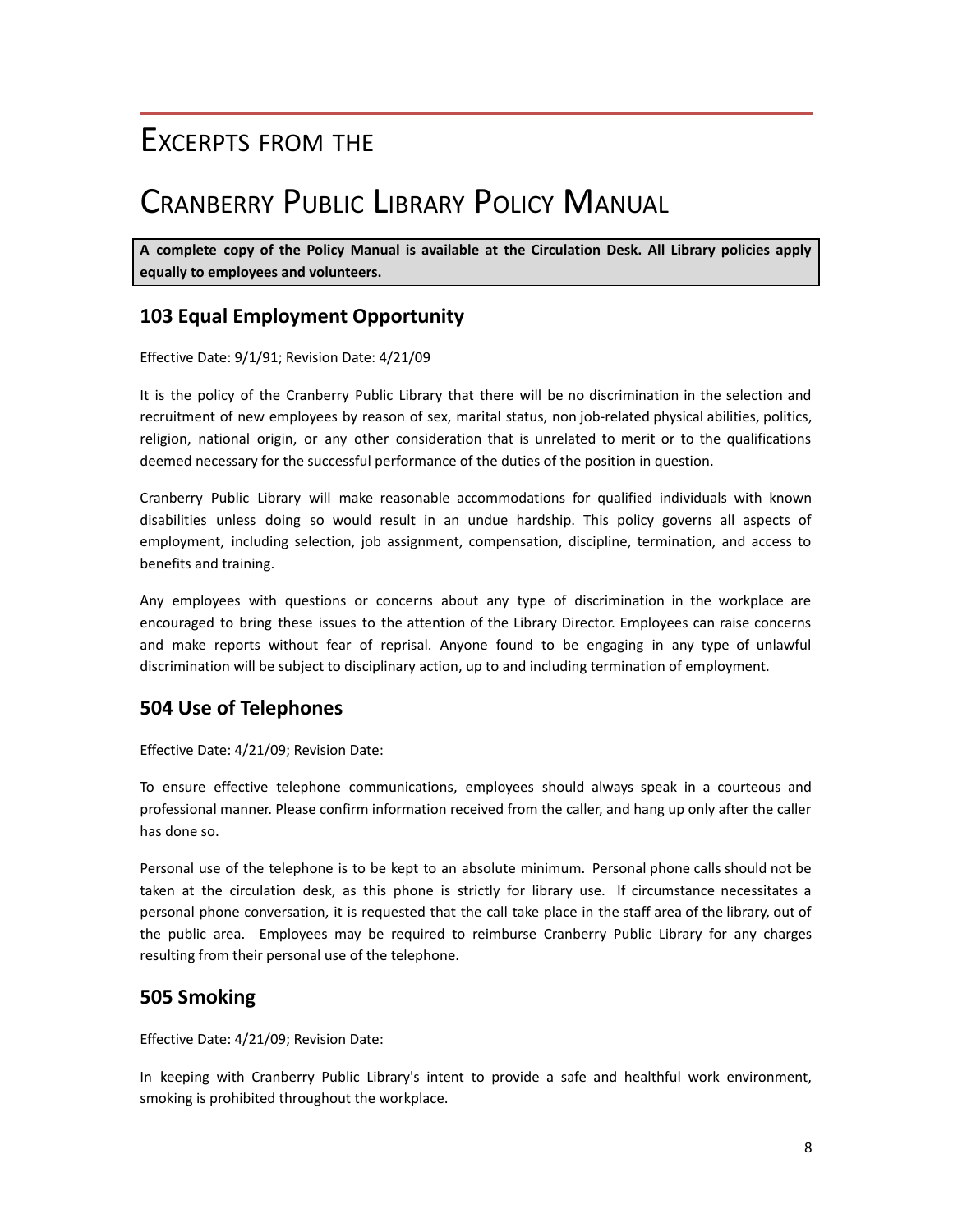### EXCERPTS FROM THE

## CRANBERRY PUBLIC LIBRARY POLICY MANUAL

**A complete copy of the Policy Manual is available at the Circulation Desk. All Library policies apply equally to employees and volunteers.**

#### **103 Equal Employment Opportunity**

Effective Date: 9/1/91; Revision Date: 4/21/09

It is the policy of the Cranberry Public Library that there will be no discrimination in the selection and recruitment of new employees by reason of sex, marital status, non job-related physical abilities, politics, religion, national origin, or any other consideration that is unrelated to merit or to the qualifications deemed necessary for the successful performance of the duties of the position in question.

Cranberry Public Library will make reasonable accommodations for qualified individuals with known disabilities unless doing so would result in an undue hardship. This policy governs all aspects of employment, including selection, job assignment, compensation, discipline, termination, and access to benefits and training.

Any employees with questions or concerns about any type of discrimination in the workplace are encouraged to bring these issues to the attention of the Library Director. Employees can raise concerns and make reports without fear of reprisal. Anyone found to be engaging in any type of unlawful discrimination will be subject to disciplinary action, up to and including termination of employment.

#### **504 Use of Telephones**

Effective Date: 4/21/09; Revision Date:

To ensure effective telephone communications, employees should always speak in a courteous and professional manner. Please confirm information received from the caller, and hang up only after the caller has done so.

Personal use of the telephone is to be kept to an absolute minimum. Personal phone calls should not be taken at the circulation desk, as this phone is strictly for library use. If circumstance necessitates a personal phone conversation, it is requested that the call take place in the staff area of the library, out of the public area. Employees may be required to reimburse Cranberry Public Library for any charges resulting from their personal use of the telephone.

#### **505 Smoking**

Effective Date: 4/21/09; Revision Date:

In keeping with Cranberry Public Library's intent to provide a safe and healthful work environment, smoking is prohibited throughout the workplace.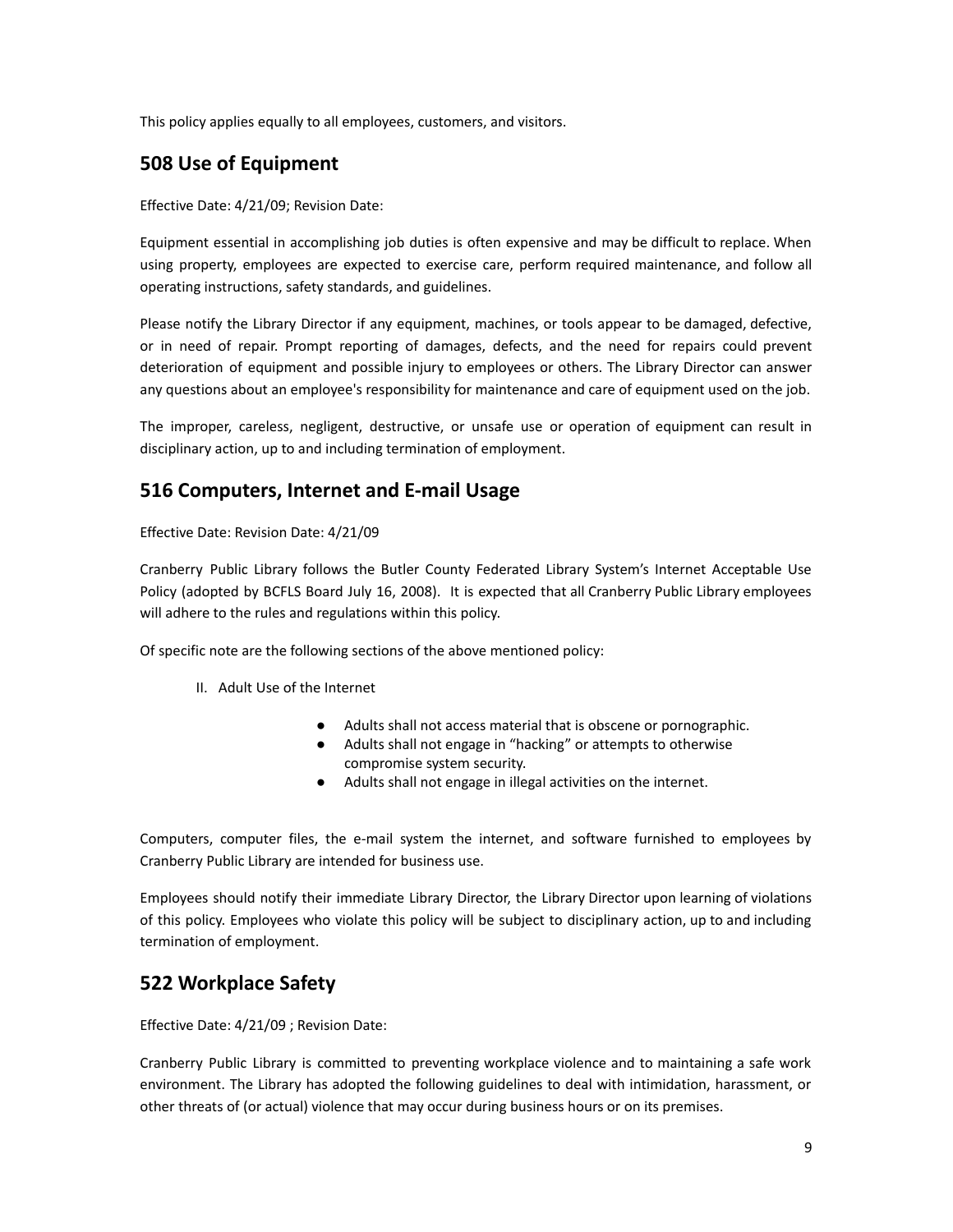This policy applies equally to all employees, customers, and visitors.

#### **508 Use of Equipment**

Effective Date: 4/21/09; Revision Date:

Equipment essential in accomplishing job duties is often expensive and may be difficult to replace. When using property, employees are expected to exercise care, perform required maintenance, and follow all operating instructions, safety standards, and guidelines.

Please notify the Library Director if any equipment, machines, or tools appear to be damaged, defective, or in need of repair. Prompt reporting of damages, defects, and the need for repairs could prevent deterioration of equipment and possible injury to employees or others. The Library Director can answer any questions about an employee's responsibility for maintenance and care of equipment used on the job.

The improper, careless, negligent, destructive, or unsafe use or operation of equipment can result in disciplinary action, up to and including termination of employment.

#### **516 Computers, Internet and E-mail Usage**

Effective Date: Revision Date: 4/21/09

Cranberry Public Library follows the Butler County Federated Library System's Internet Acceptable Use Policy (adopted by BCFLS Board July 16, 2008). It is expected that all Cranberry Public Library employees will adhere to the rules and regulations within this policy.

Of specific note are the following sections of the above mentioned policy:

- II. Adult Use of the Internet
	- Adults shall not access material that is obscene or pornographic.
	- Adults shall not engage in "hacking" or attempts to otherwise compromise system security.
		- Adults shall not engage in illegal activities on the internet.

Computers, computer files, the e-mail system the internet, and software furnished to employees by Cranberry Public Library are intended for business use.

Employees should notify their immediate Library Director, the Library Director upon learning of violations of this policy. Employees who violate this policy will be subject to disciplinary action, up to and including termination of employment.

#### **522 Workplace Safety**

Effective Date: 4/21/09 ; Revision Date:

Cranberry Public Library is committed to preventing workplace violence and to maintaining a safe work environment. The Library has adopted the following guidelines to deal with intimidation, harassment, or other threats of (or actual) violence that may occur during business hours or on its premises.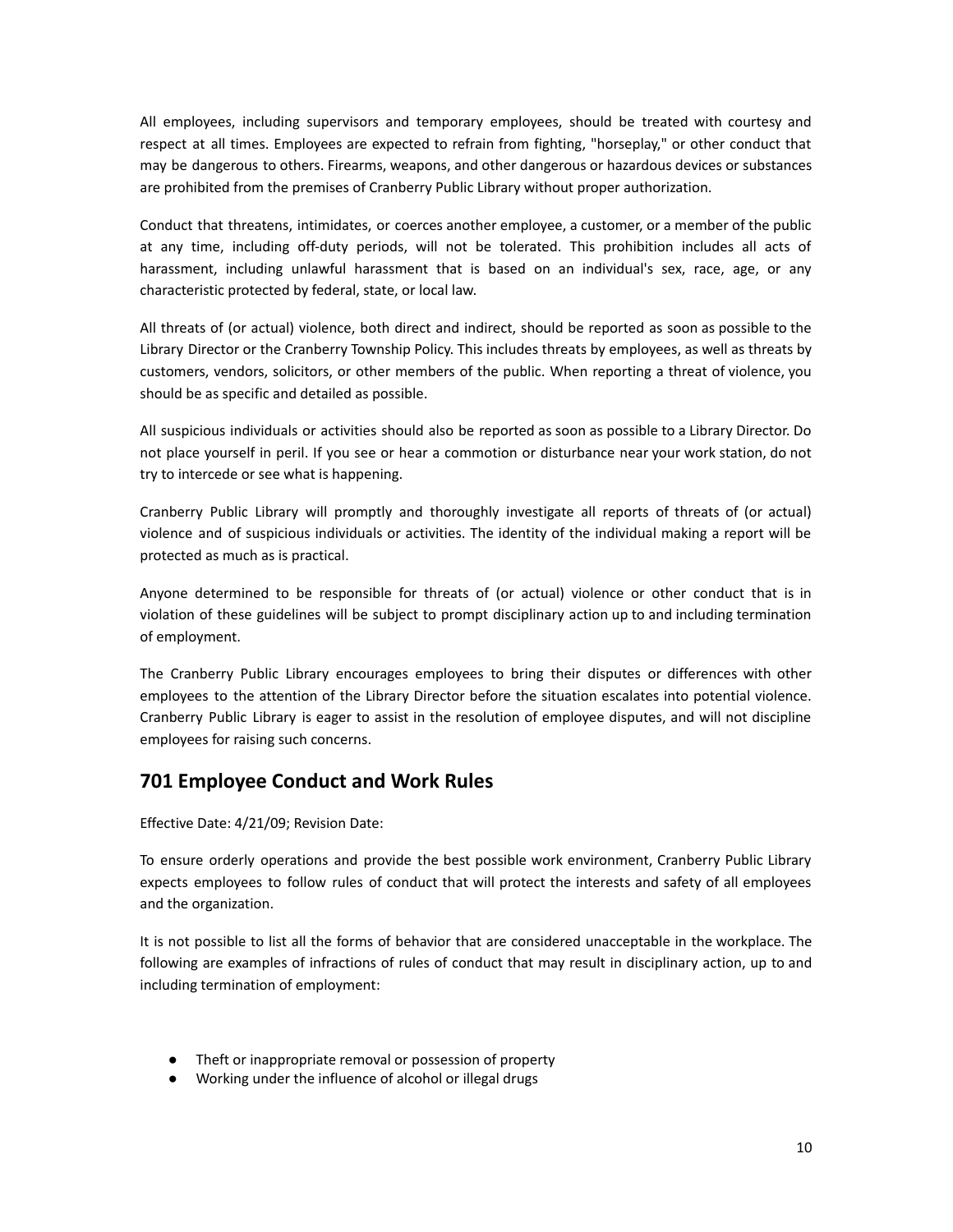All employees, including supervisors and temporary employees, should be treated with courtesy and respect at all times. Employees are expected to refrain from fighting, "horseplay," or other conduct that may be dangerous to others. Firearms, weapons, and other dangerous or hazardous devices or substances are prohibited from the premises of Cranberry Public Library without proper authorization.

Conduct that threatens, intimidates, or coerces another employee, a customer, or a member of the public at any time, including off-duty periods, will not be tolerated. This prohibition includes all acts of harassment, including unlawful harassment that is based on an individual's sex, race, age, or any characteristic protected by federal, state, or local law.

All threats of (or actual) violence, both direct and indirect, should be reported as soon as possible to the Library Director or the Cranberry Township Policy. This includes threats by employees, as well as threats by customers, vendors, solicitors, or other members of the public. When reporting a threat of violence, you should be as specific and detailed as possible.

All suspicious individuals or activities should also be reported as soon as possible to a Library Director. Do not place yourself in peril. If you see or hear a commotion or disturbance near your work station, do not try to intercede or see what is happening.

Cranberry Public Library will promptly and thoroughly investigate all reports of threats of (or actual) violence and of suspicious individuals or activities. The identity of the individual making a report will be protected as much as is practical.

Anyone determined to be responsible for threats of (or actual) violence or other conduct that is in violation of these guidelines will be subject to prompt disciplinary action up to and including termination of employment.

The Cranberry Public Library encourages employees to bring their disputes or differences with other employees to the attention of the Library Director before the situation escalates into potential violence. Cranberry Public Library is eager to assist in the resolution of employee disputes, and will not discipline employees for raising such concerns.

#### **701 Employee Conduct and Work Rules**

Effective Date: 4/21/09; Revision Date:

To ensure orderly operations and provide the best possible work environment, Cranberry Public Library expects employees to follow rules of conduct that will protect the interests and safety of all employees and the organization.

It is not possible to list all the forms of behavior that are considered unacceptable in the workplace. The following are examples of infractions of rules of conduct that may result in disciplinary action, up to and including termination of employment:

- Theft or inappropriate removal or possession of property
- Working under the influence of alcohol or illegal drugs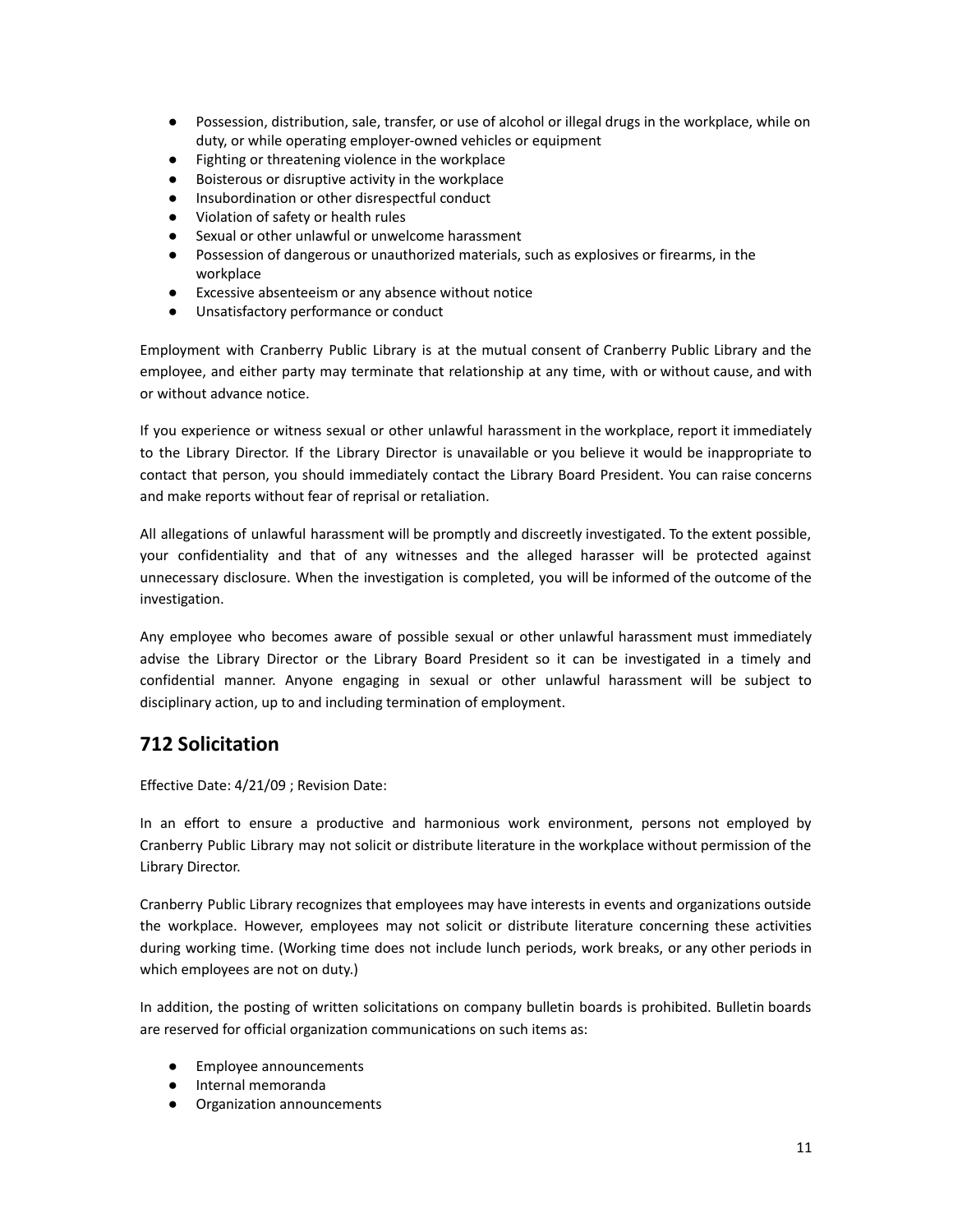- Possession, distribution, sale, transfer, or use of alcohol or illegal drugs in the workplace, while on duty, or while operating employer-owned vehicles or equipment
- Fighting or threatening violence in the workplace
- Boisterous or disruptive activity in the workplace
- Insubordination or other disrespectful conduct
- Violation of safety or health rules
- Sexual or other unlawful or unwelcome harassment
- Possession of dangerous or unauthorized materials, such as explosives or firearms, in the workplace
- Excessive absenteeism or any absence without notice
- Unsatisfactory performance or conduct

Employment with Cranberry Public Library is at the mutual consent of Cranberry Public Library and the employee, and either party may terminate that relationship at any time, with or without cause, and with or without advance notice.

If you experience or witness sexual or other unlawful harassment in the workplace, report it immediately to the Library Director. If the Library Director is unavailable or you believe it would be inappropriate to contact that person, you should immediately contact the Library Board President. You can raise concerns and make reports without fear of reprisal or retaliation.

All allegations of unlawful harassment will be promptly and discreetly investigated. To the extent possible, your confidentiality and that of any witnesses and the alleged harasser will be protected against unnecessary disclosure. When the investigation is completed, you will be informed of the outcome of the investigation.

Any employee who becomes aware of possible sexual or other unlawful harassment must immediately advise the Library Director or the Library Board President so it can be investigated in a timely and confidential manner. Anyone engaging in sexual or other unlawful harassment will be subject to disciplinary action, up to and including termination of employment.

#### **712 Solicitation**

Effective Date: 4/21/09 ; Revision Date:

In an effort to ensure a productive and harmonious work environment, persons not employed by Cranberry Public Library may not solicit or distribute literature in the workplace without permission of the Library Director.

Cranberry Public Library recognizes that employees may have interests in events and organizations outside the workplace. However, employees may not solicit or distribute literature concerning these activities during working time. (Working time does not include lunch periods, work breaks, or any other periods in which employees are not on duty.)

In addition, the posting of written solicitations on company bulletin boards is prohibited. Bulletin boards are reserved for official organization communications on such items as:

- Employee announcements
- Internal memoranda
- Organization announcements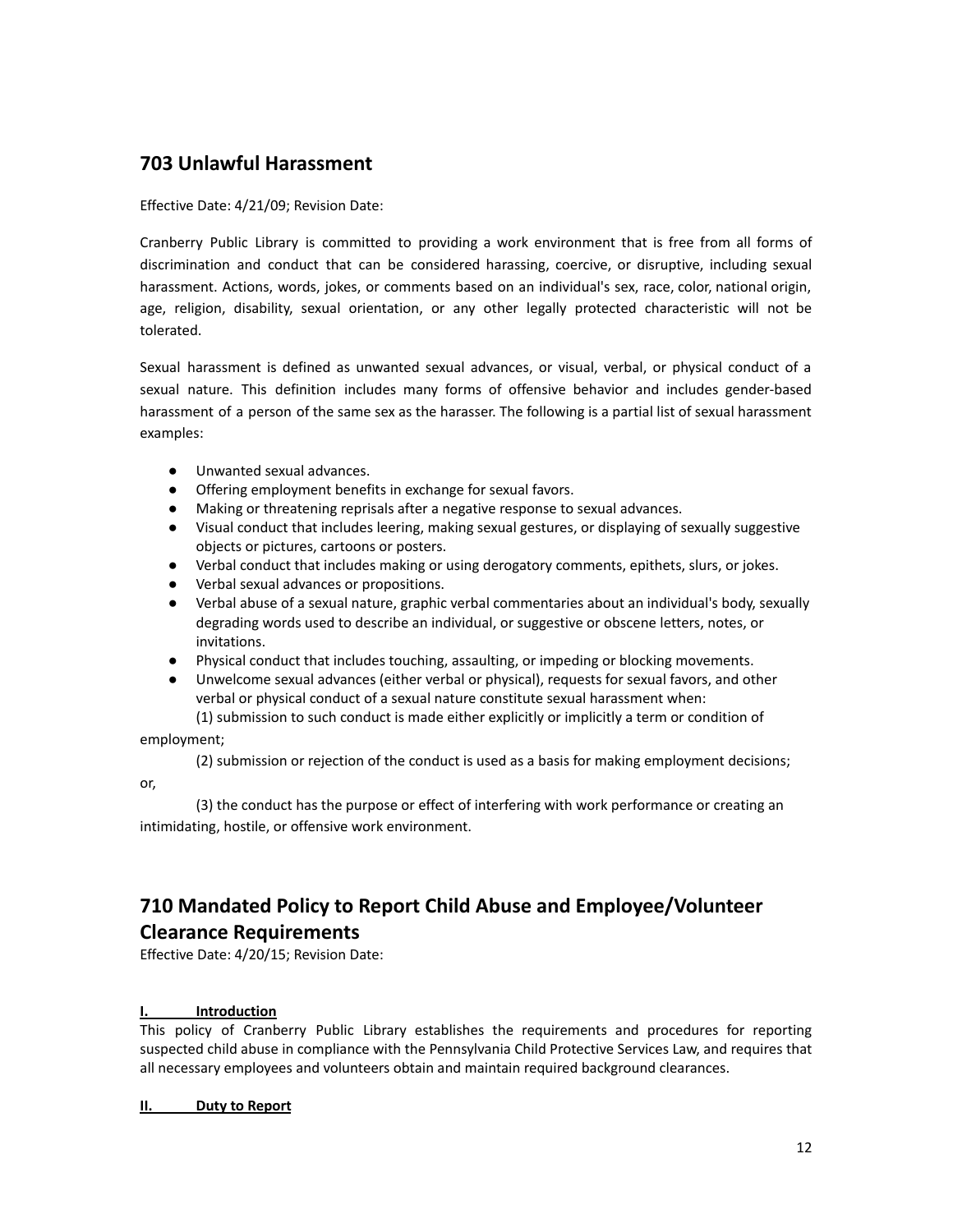#### **703 Unlawful Harassment**

Effective Date: 4/21/09; Revision Date:

Cranberry Public Library is committed to providing a work environment that is free from all forms of discrimination and conduct that can be considered harassing, coercive, or disruptive, including sexual harassment. Actions, words, jokes, or comments based on an individual's sex, race, color, national origin, age, religion, disability, sexual orientation, or any other legally protected characteristic will not be tolerated.

Sexual harassment is defined as unwanted sexual advances, or visual, verbal, or physical conduct of a sexual nature. This definition includes many forms of offensive behavior and includes gender-based harassment of a person of the same sex as the harasser. The following is a partial list of sexual harassment examples:

- Unwanted sexual advances.
- Offering employment benefits in exchange for sexual favors.
- Making or threatening reprisals after a negative response to sexual advances.
- Visual conduct that includes leering, making sexual gestures, or displaying of sexually suggestive objects or pictures, cartoons or posters.
- Verbal conduct that includes making or using derogatory comments, epithets, slurs, or jokes.
- Verbal sexual advances or propositions.
- Verbal abuse of a sexual nature, graphic verbal commentaries about an individual's body, sexually degrading words used to describe an individual, or suggestive or obscene letters, notes, or invitations.
- Physical conduct that includes touching, assaulting, or impeding or blocking movements.
- Unwelcome sexual advances (either verbal or physical), requests for sexual favors, and other verbal or physical conduct of a sexual nature constitute sexual harassment when: (1) submission to such conduct is made either explicitly or implicitly a term or condition of

employment;

(2) submission or rejection of the conduct is used as a basis for making employment decisions;

or,

(3) the conduct has the purpose or effect of interfering with work performance or creating an intimidating, hostile, or offensive work environment.

#### **710 Mandated Policy to Report Child Abuse and Employee/Volunteer Clearance Requirements**

Effective Date: 4/20/15; Revision Date:

#### **I. Introduction**

This policy of Cranberry Public Library establishes the requirements and procedures for reporting suspected child abuse in compliance with the Pennsylvania Child Protective Services Law, and requires that all necessary employees and volunteers obtain and maintain required background clearances.

**II. Duty to Report**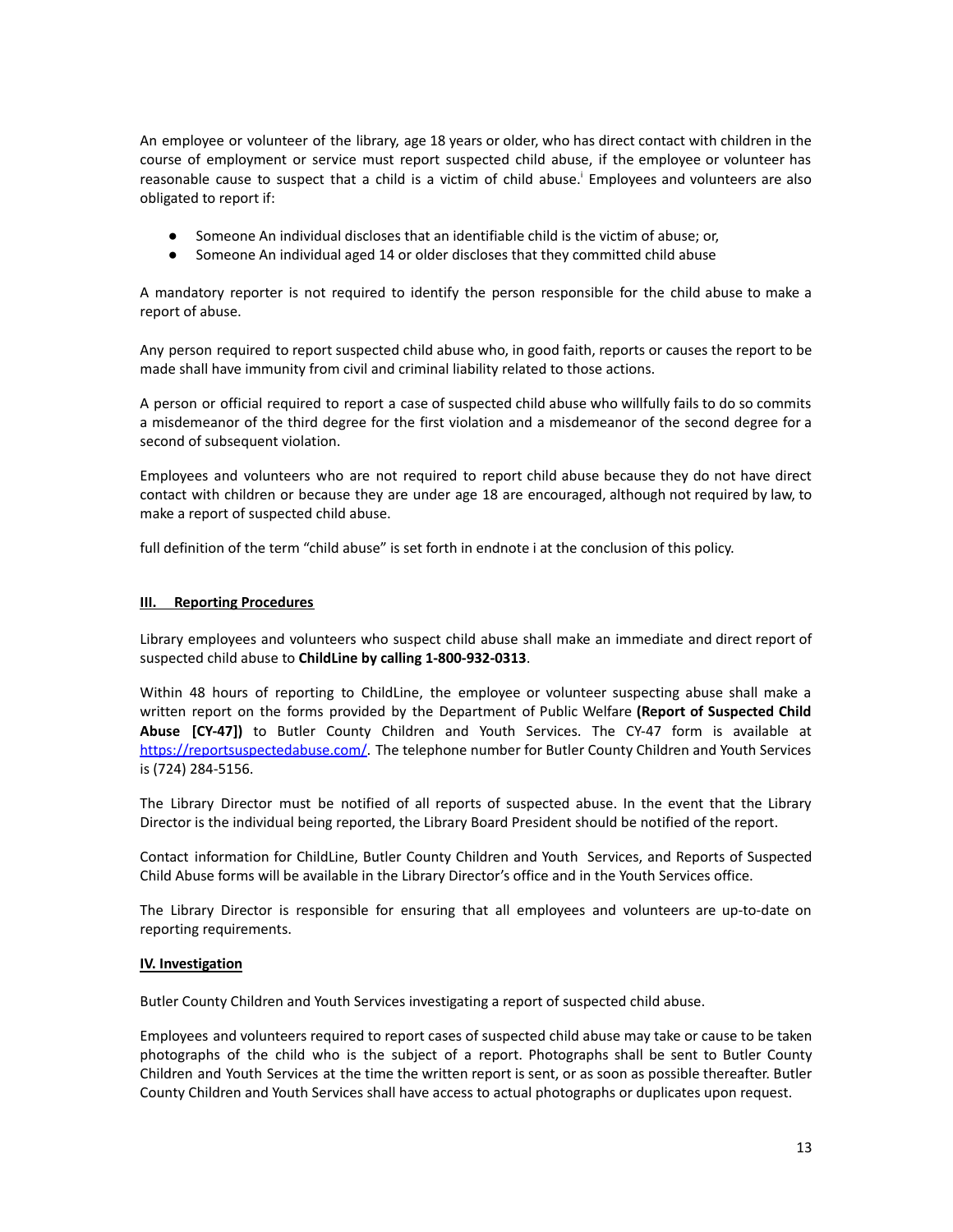An employee or volunteer of the library, age 18 years or older, who has direct contact with children in the course of employment or service must report suspected child abuse, if the employee or volunteer has reasonable cause to suspect that a child is a victim of child abuse.<sup>1</sup> Employees and volunteers are also obligated to report if:

- Someone An individual discloses that an identifiable child is the victim of abuse; or,
- Someone An individual aged 14 or older discloses that they committed child abuse

A mandatory reporter is not required to identify the person responsible for the child abuse to make a report of abuse.

Any person required to report suspected child abuse who, in good faith, reports or causes the report to be made shall have immunity from civil and criminal liability related to those actions.

A person or official required to report a case of suspected child abuse who willfully fails to do so commits a misdemeanor of the third degree for the first violation and a misdemeanor of the second degree for a second of subsequent violation.

Employees and volunteers who are not required to report child abuse because they do not have direct contact with children or because they are under age 18 are encouraged, although not required by law, to make a report of suspected child abuse.

full definition of the term "child abuse" is set forth in endnote i at the conclusion of this policy.

#### **III. Reporting Procedures**

Library employees and volunteers who suspect child abuse shall make an immediate and direct report of suspected child abuse to **ChildLine by calling [1-800-932-0313](http://www.compass.state.pa.us/cwis%20or%20by%20calling%201-800-932-0313)**.

Within 48 hours of reporting to ChildLine, the employee or volunteer suspecting abuse shall make a written report on the forms provided by the Department of Public Welfare **(Report of Suspected Child Abuse [CY-47])** to Butler County Children and Youth Services. The CY-47 form is available at [https://reportsuspectedabuse.com/.](https://reportsuspectedabuse.com/) The telephone number for Butler County Children and Youth Services is (724) 284-5156.

The Library Director must be notified of all reports of suspected abuse. In the event that the Library Director is the individual being reported, the Library Board President should be notified of the report.

Contact information for ChildLine, Butler County Children and Youth Services, and Reports of Suspected Child Abuse forms will be available in the Library Director's office and in the Youth Services office.

The Library Director is responsible for ensuring that all employees and volunteers are up-to-date on reporting requirements.

#### **IV. Investigation**

Butler County Children and Youth Services investigating a report of suspected child abuse.

Employees and volunteers required to report cases of suspected child abuse may take or cause to be taken photographs of the child who is the subject of a report. Photographs shall be sent to Butler County Children and Youth Services at the time the written report is sent, or as soon as possible thereafter. Butler County Children and Youth Services shall have access to actual photographs or duplicates upon request.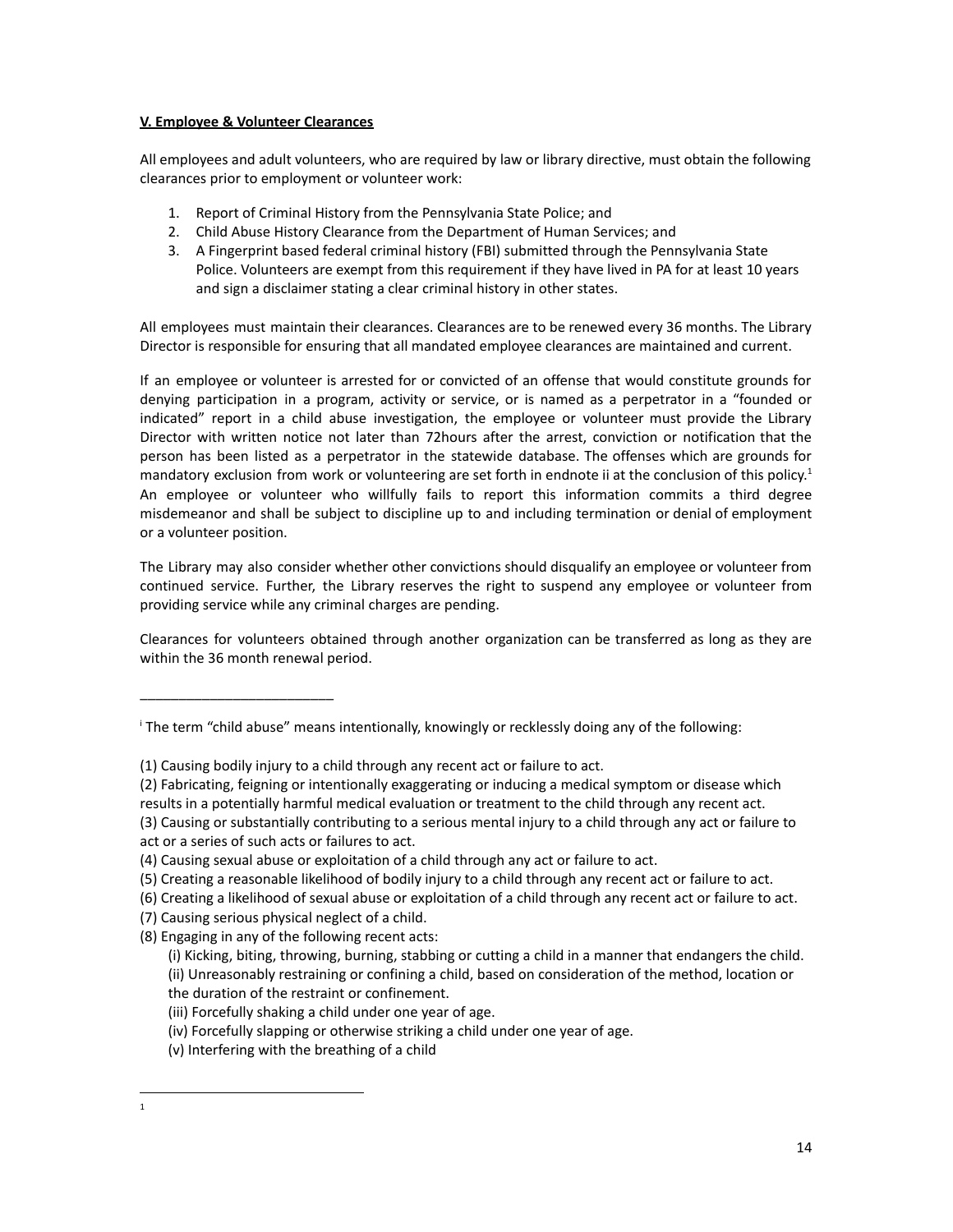#### **V. Employee & Volunteer Clearances**

All employees and adult volunteers, who are required by law or library directive, must obtain the following clearances prior to employment or volunteer work:

- 1. Report of Criminal History from the Pennsylvania State Police; and
- 2. Child Abuse History Clearance from the Department of Human Services; and
- 3. A Fingerprint based federal criminal history (FBI) submitted through the Pennsylvania State Police. Volunteers are exempt from this requirement if they have lived in PA for at least 10 years and sign a disclaimer stating a clear criminal history in other states.

All employees must maintain their clearances. Clearances are to be renewed every 36 months. The Library Director is responsible for ensuring that all mandated employee clearances are maintained and current.

If an employee or volunteer is arrested for or convicted of an offense that would constitute grounds for denying participation in a program, activity or service, or is named as a perpetrator in a "founded or indicated" report in a child abuse investigation, the employee or volunteer must provide the Library Director with written notice not later than 72hours after the arrest, conviction or notification that the person has been listed as a perpetrator in the statewide database. The offenses which are grounds for mandatory exclusion from work or volunteering are set forth in endnote ii at the conclusion of this policy.<sup>1</sup> An employee or volunteer who willfully fails to report this information commits a third degree misdemeanor and shall be subject to discipline up to and including termination or denial of employment or a volunteer position.

The Library may also consider whether other convictions should disqualify an employee or volunteer from continued service. Further, the Library reserves the right to suspend any employee or volunteer from providing service while any criminal charges are pending.

Clearances for volunteers obtained through another organization can be transferred as long as they are within the 36 month renewal period.

(2) Fabricating, feigning or intentionally exaggerating or inducing a medical symptom or disease which

- (6) Creating a likelihood of sexual abuse or exploitation of a child through any recent act or failure to act.
- (7) Causing serious physical neglect of a child.

\_\_\_\_\_\_\_\_\_\_\_\_\_\_\_\_\_\_\_\_\_\_\_\_\_

(8) Engaging in any of the following recent acts:

<sup>i</sup> The term "child abuse" means intentionally, knowingly or recklessly doing any of the following:

<sup>(1)</sup> Causing bodily injury to a child through any recent act or failure to act.

results in a potentially harmful medical evaluation or treatment to the child through any recent act.

<sup>(3)</sup> Causing or substantially contributing to a serious mental injury to a child through any act or failure to act or a series of such acts or failures to act.

<sup>(4)</sup> Causing sexual abuse or exploitation of a child through any act or failure to act.

<sup>(5)</sup> Creating a reasonable likelihood of bodily injury to a child through any recent act or failure to act.

<sup>(</sup>i) Kicking, biting, throwing, burning, stabbing or cutting a child in a manner that endangers the child. (ii) Unreasonably restraining or confining a child, based on consideration of the method, location or the duration of the restraint or confinement.

<sup>(</sup>iii) Forcefully shaking a child under one year of age.

<sup>(</sup>iv) Forcefully slapping or otherwise striking a child under one year of age.

<sup>(</sup>v) Interfering with the breathing of a child